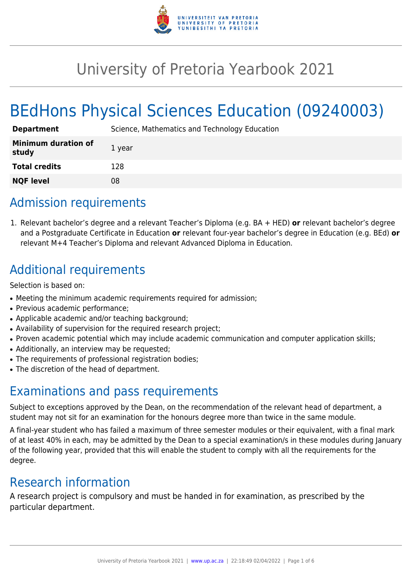

# University of Pretoria Yearbook 2021

# BEdHons Physical Sciences Education (09240003)

| <b>Department</b>                   | Science, Mathematics and Technology Education |
|-------------------------------------|-----------------------------------------------|
| <b>Minimum duration of</b><br>study | 1 year                                        |
| <b>Total credits</b>                | 128                                           |
| <b>NQF level</b>                    | 08                                            |

## Admission requirements

1. Relevant bachelor's degree and a relevant Teacher's Diploma (e.g. BA + HED) **or** relevant bachelor's degree and a Postgraduate Certificate in Education **or** relevant four-year bachelor's degree in Education (e.g. BEd) **or** relevant M+4 Teacher's Diploma and relevant Advanced Diploma in Education.

## Additional requirements

Selection is based on:

- Meeting the minimum academic requirements required for admission;
- Previous academic performance;
- Applicable academic and/or teaching background;
- Availability of supervision for the required research project;
- Proven academic potential which may include academic communication and computer application skills;
- Additionally, an interview may be requested;
- The requirements of professional registration bodies;
- The discretion of the head of department.

### Examinations and pass requirements

Subject to exceptions approved by the Dean, on the recommendation of the relevant head of department, a student may not sit for an examination for the honours degree more than twice in the same module.

A final-year student who has failed a maximum of three semester modules or their equivalent, with a final mark of at least 40% in each, may be admitted by the Dean to a special examination/s in these modules during January of the following year, provided that this will enable the student to comply with all the requirements for the degree.

### Research information

A research project is compulsory and must be handed in for examination, as prescribed by the particular department.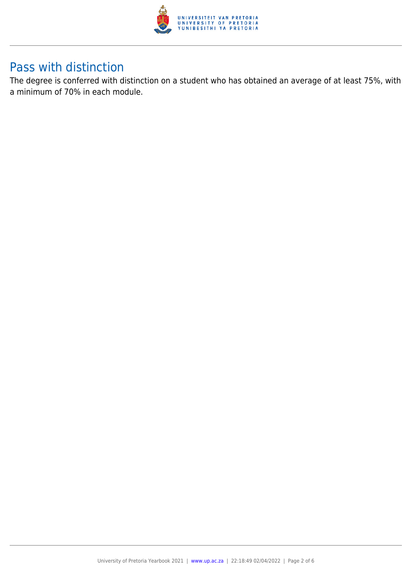

### Pass with distinction

The degree is conferred with distinction on a student who has obtained an average of at least 75%, with a minimum of 70% in each module.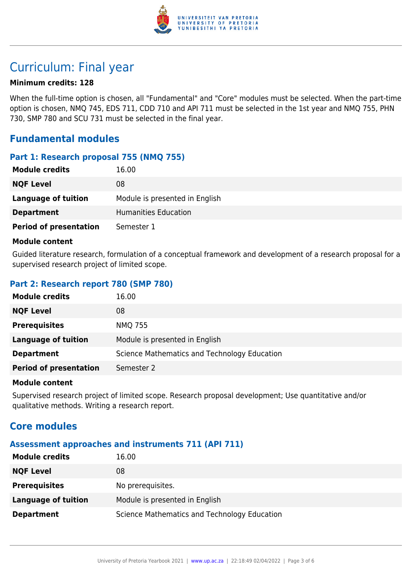

## Curriculum: Final year

#### **Minimum credits: 128**

When the full-time option is chosen, all "Fundamental" and "Core" modules must be selected. When the part-time option is chosen, NMQ 745, EDS 711, CDD 710 and API 711 must be selected in the 1st year and NMQ 755, PHN 730, SMP 780 and SCU 731 must be selected in the final year.

#### **Fundamental modules**

#### **Part 1: Research proposal 755 (NMQ 755)**

| <b>Module credits</b>         | 16.00                          |
|-------------------------------|--------------------------------|
| <b>NQF Level</b>              | 08                             |
| Language of tuition           | Module is presented in English |
| <b>Department</b>             | Humanities Education           |
| <b>Period of presentation</b> | Semester 1                     |

#### **Module content**

Guided literature research, formulation of a conceptual framework and development of a research proposal for a supervised research project of limited scope.

#### **Part 2: Research report 780 (SMP 780)**

| <b>Module credits</b>         | 16.00                                        |
|-------------------------------|----------------------------------------------|
| <b>NQF Level</b>              | 08                                           |
| <b>Prerequisites</b>          | <b>NMQ 755</b>                               |
| <b>Language of tuition</b>    | Module is presented in English               |
| <b>Department</b>             | Science Mathematics and Technology Education |
| <b>Period of presentation</b> | Semester 2                                   |

#### **Module content**

Supervised research project of limited scope. Research proposal development; Use quantitative and/or qualitative methods. Writing a research report.

#### **Core modules**

#### **Assessment approaches and instruments 711 (API 711)**

| <b>Module credits</b> | 16.00                                        |
|-----------------------|----------------------------------------------|
| <b>NQF Level</b>      | 08                                           |
| <b>Prerequisites</b>  | No prerequisites.                            |
| Language of tuition   | Module is presented in English               |
| <b>Department</b>     | Science Mathematics and Technology Education |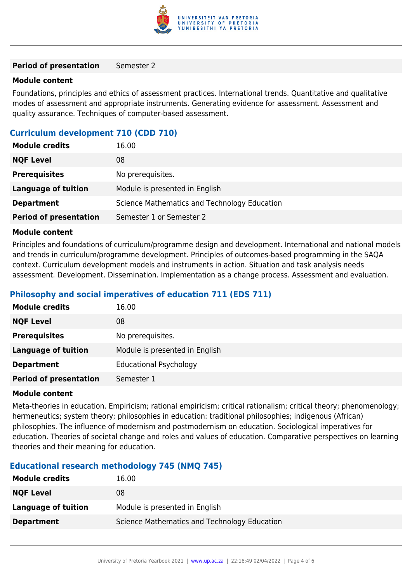

#### **Period of presentation** Semester 2

#### **Module content**

Foundations, principles and ethics of assessment practices. International trends. Quantitative and qualitative modes of assessment and appropriate instruments. Generating evidence for assessment. Assessment and quality assurance. Techniques of computer-based assessment.

#### **Curriculum development 710 (CDD 710)**

| <b>Module credits</b>         | 16.00                                        |
|-------------------------------|----------------------------------------------|
| <b>NQF Level</b>              | 08                                           |
| <b>Prerequisites</b>          | No prerequisites.                            |
| Language of tuition           | Module is presented in English               |
| <b>Department</b>             | Science Mathematics and Technology Education |
| <b>Period of presentation</b> | Semester 1 or Semester 2                     |

#### **Module content**

Principles and foundations of curriculum/programme design and development. International and national models and trends in curriculum/programme development. Principles of outcomes-based programming in the SAQA context. Curriculum development models and instruments in action. Situation and task analysis needs assessment. Development. Dissemination. Implementation as a change process. Assessment and evaluation.

#### **Philosophy and social imperatives of education 711 (EDS 711)**

| <b>Module credits</b>         | 16.00                          |
|-------------------------------|--------------------------------|
| <b>NQF Level</b>              | 08                             |
| <b>Prerequisites</b>          | No prerequisites.              |
| <b>Language of tuition</b>    | Module is presented in English |
| <b>Department</b>             | <b>Educational Psychology</b>  |
| <b>Period of presentation</b> | Semester 1                     |

#### **Module content**

Meta-theories in education. Empiricism; rational empiricism; critical rationalism; critical theory; phenomenology; hermeneutics; system theory; philosophies in education: traditional philosophies; indigenous (African) philosophies. The influence of modernism and postmodernism on education. Sociological imperatives for education. Theories of societal change and roles and values of education. Comparative perspectives on learning theories and their meaning for education.

#### **Educational research methodology 745 (NMQ 745)**

| <b>Module credits</b> | 16.00                                        |
|-----------------------|----------------------------------------------|
| <b>NQF Level</b>      | 08                                           |
| Language of tuition   | Module is presented in English               |
| <b>Department</b>     | Science Mathematics and Technology Education |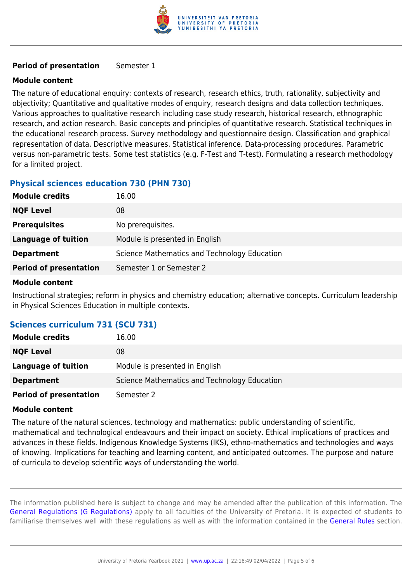

#### **Period of presentation** Semester 1

#### **Module content**

The nature of educational enquiry: contexts of research, research ethics, truth, rationality, subjectivity and objectivity; Quantitative and qualitative modes of enquiry, research designs and data collection techniques. Various approaches to qualitative research including case study research, historical research, ethnographic research, and action research. Basic concepts and principles of quantitative research. Statistical techniques in the educational research process. Survey methodology and questionnaire design. Classification and graphical representation of data. Descriptive measures. Statistical inference. Data-processing procedures. Parametric versus non-parametric tests. Some test statistics (e.g. F-Test and T-test). Formulating a research methodology for a limited project.

#### **Physical sciences education 730 (PHN 730)**

| <b>Module credits</b>         | 16.00                                        |
|-------------------------------|----------------------------------------------|
| <b>NQF Level</b>              | 08                                           |
| <b>Prerequisites</b>          | No prerequisites.                            |
| <b>Language of tuition</b>    | Module is presented in English               |
| <b>Department</b>             | Science Mathematics and Technology Education |
| <b>Period of presentation</b> | Semester 1 or Semester 2                     |

#### **Module content**

Instructional strategies; reform in physics and chemistry education; alternative concepts. Curriculum leadership in Physical Sciences Education in multiple contexts.

#### **Sciences curriculum 731 (SCU 731)**

| <b>Module credits</b>         | 16.00                                        |
|-------------------------------|----------------------------------------------|
| <b>NQF Level</b>              | 08                                           |
| Language of tuition           | Module is presented in English               |
| <b>Department</b>             | Science Mathematics and Technology Education |
| <b>Period of presentation</b> | Semester 2                                   |

#### **Module content**

The nature of the natural sciences, technology and mathematics: public understanding of scientific, mathematical and technological endeavours and their impact on society. Ethical implications of practices and advances in these fields. Indigenous Knowledge Systems (IKS), ethno-mathematics and technologies and ways of knowing. Implications for teaching and learning content, and anticipated outcomes. The purpose and nature of curricula to develop scientific ways of understanding the world.

The information published here is subject to change and may be amended after the publication of this information. The [General Regulations \(G Regulations\)](https://www.up.ac.za/yearbooks/2021/rules/view/REG) apply to all faculties of the University of Pretoria. It is expected of students to familiarise themselves well with these regulations as well as with the information contained in the [General Rules](https://www.up.ac.za/yearbooks/2021/rules/view/RUL) section.